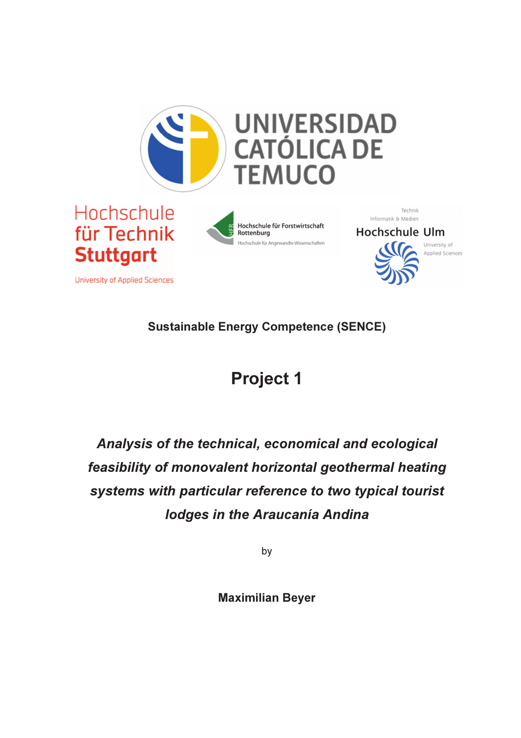

Sustainable Energy Competence (SENCE)

## Project 1

Analysis of the technical, economical and ecological feasibility of monovalent horizontal geothermal heating systems with particular reference to two typical tourist lodges in the Araucanía Andina

by

Maximilian Beyer